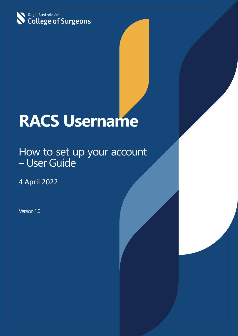

# **RACS Username**

# How to set up your account<br>- User Guide

4 April 2022

Version 1.0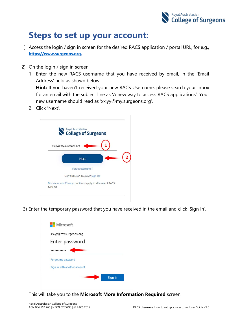

## **Steps to set up your account:**

- 1) Access the login / sign in screen for the desired RACS application / portal URL, for e.g., **[https://www.surgeons.org.](https://www.surgeons.org/)**
- 2) On the login / sign in screen,
	- 1. Enter the new RACS username that you have received by email, in the 'Email Address' field as shown below.

**Hint:** If you haven't received your new RACS Username, please search your inbox for an email with the subject line as 'A new way to access RACS applications'. Your new username should read as 'xx.yy@my.surgeons.org'.

2. Click 'Next'.



3) Enter the temporary password that you have received in the email and click 'Sign In'.



This will take you to the **Microsoft More Information Required** screen.

Royal Australasian College of Surgeons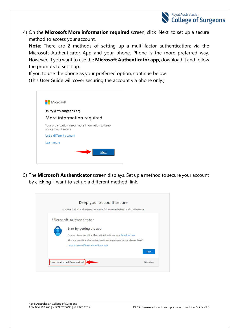

4) On the **Microsoft More information required** screen, click 'Next' to set up a secure method to access your account.

**Note**: There are 2 methods of setting up a multi-factor authentication: via the Microsoft Authenticator App and your phone. Phone is the more preferred way. However, if you want to use the **Microsoft Authenticator app,** download it and follow the prompts to set it up.

If you to use the phone as your preferred option, continue below. (This User Guide will cover securing the account via phone only.)



5) The **Microsoft Authenticator** screen displays. Set up a method to secure your account by clicking 'I want to set up a different method' link.

| Your organization requires you to set up the following methods of proving who you are. |
|----------------------------------------------------------------------------------------|
| Microsoft Authenticator                                                                |
| Start by getting the app                                                               |
| On your phone, install the Microsoft Authenticator app. Download now                   |
| After you install the Microsoft Authenticator app on your device, choose "Next".       |
| I want to use a different authenticator app                                            |
| <b>Next</b>                                                                            |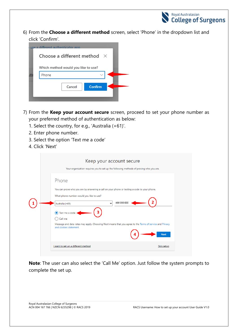

6) From the **Choose a different method** screen, select 'Phone' in the dropdown list and click 'Confirm'.

|   | use a different authenticator app            |
|---|----------------------------------------------|
|   | Choose a different method $\chi$             |
| m | Which method would you like to use?<br>Phone |
|   |                                              |
|   | <b>Confirm</b><br>Cancel                     |
|   |                                              |

- 7) From the **Keep your account secure** screen, proceed to set your phone number as your preferred method of authentication as below:
	- 1. Select the country, for e.g., 'Australia (+61)'.
	- 2. Enter phone number.
	- 3. Select the option 'Text me a code'
	- 4. Click 'Next'

| Keep your account secure<br>Your organization requires you to set up the following methods of proving who you are.                                                                                                                                                                                                                                                              |
|---------------------------------------------------------------------------------------------------------------------------------------------------------------------------------------------------------------------------------------------------------------------------------------------------------------------------------------------------------------------------------|
| Phone<br>You can prove who you are by answering a call on your phone or texting a code to your phone.<br>What phone number would you like to use?<br>400 000 000<br>Australia (+61)<br>v<br>Text me a code<br>O<br>Call me<br>Message and data rates may apply. Choosing Next means that you agree to the Terms of service and Privacy<br>and cookies statement.<br><b>Next</b> |
| I want to set up a different method<br>Skip setup                                                                                                                                                                                                                                                                                                                               |

**Note**: The user can also select the 'Call Me' option. Just follow the system prompts to complete the set up.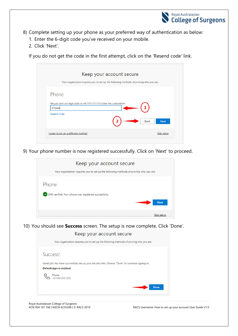

- 8) Complete setting up your phone as your preferred way of authentication as below:
	- 1. Enter the 6-digit code you've received on your mobile.
	- 2. Click 'Next'.

If you do not get the code in the first attempt, click on the 'Resend code' link.

| Your organization requires you to set up the following methods of proving who you are. |                            |
|----------------------------------------------------------------------------------------|----------------------------|
| Phone                                                                                  |                            |
| We just sent a 6 digit code to +61400 000 000 Enter the code below.<br>876446          |                            |
| Resend code                                                                            | <b>Back</b><br><b>Next</b> |
|                                                                                        |                            |

9) Your phone number is now registered successfully. Click on 'Next' to proceed.

| Keep your account secure                                                               |             |
|----------------------------------------------------------------------------------------|-------------|
| Your organization requires you to set up the following methods of proving who you are. |             |
| Phone                                                                                  |             |
| SMS verified. Your phone was registered successfully.                                  |             |
|                                                                                        | <b>Next</b> |
|                                                                                        | Skip setup  |

10) You should see **Success** screen. The setup is now complete. Click 'Done'.

Keep your account secure



Royal Australasian College of Surgeons<br>ACN 004 167 766 | NZCN 6235298 | © RACS 2019

RACS Username: How to set up your account User Guide V1.0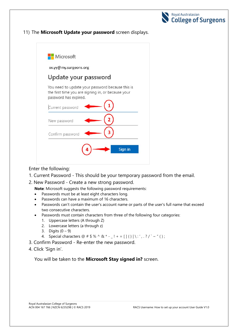

### 11) The **Microsoft Update your password** screen displays.



Enter the following:

- 1. Current Password This should be your temporary password from the email.
- 2. New Password Create a new strong password.
	- **Note**: Microsoft suggests the following password requirements:
	- Passwords must be at least eight characters long.
	- Passwords can have a maximum of 16 characters.
	- Passwords can't contain the user's account name or parts of the user's full name that exceed two consecutive characters.
	- Passwords must contain characters from three of the following four categories:
		- 1. Uppercase letters (A through Z)
		- 2. Lowercase letters (a through z)
		- 3. Digits  $(0 9)$
		- 4. Special characters  $@ # $ % ^\wedge @ * ] += [ ] {} \} | \ \cdot | ' , ? / ' \sim " () ;$
- 3. Confirm Password Re-enter the new password.
- 4. Click 'Sign in'.

You will be taken to the **Microsoft Stay signed in?** screen.